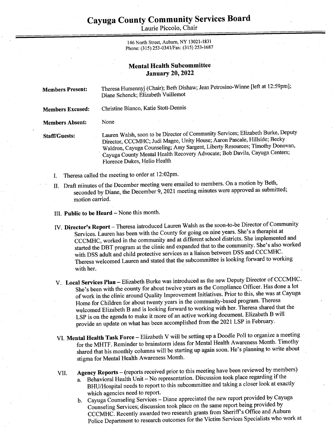## Cayuga County Community Services Board Cayuga County Comn

Laurie Piccolo, Chair

146 North Street, Auburn, NY 13021-1831 Phone: (315) 253-034 1/Fax: (315) 253-1687

## **Mental Health Subcommittee** January 20, 2022

| <b>Members Present:</b> | Theresa Humennyj (Chair); Beth Dishaw; Jean Petrosino-Winne [left at 12:59pm];<br>Diane Schenck; Elizabeth Vuillemot                                                                                                                                                                                                                                        |
|-------------------------|-------------------------------------------------------------------------------------------------------------------------------------------------------------------------------------------------------------------------------------------------------------------------------------------------------------------------------------------------------------|
| <b>Members Excused:</b> | Christine Bianco, Katie Stott-Dennis                                                                                                                                                                                                                                                                                                                        |
| <b>Members Absent:</b>  | None                                                                                                                                                                                                                                                                                                                                                        |
| <b>Staff/Guests:</b>    | Lauren Walsh, soon to be Director of Community Services; Elizabeth Burke, Deputy<br>Director, CCCMHC; Judi Magee, Unity House; Aaron Pascale, Hillside; Becky<br>Waldron, Cayuga Counseling; Amy Sargent, Liberty Resources; Timothy Donovan,<br>Cayuga County Mental Health Recovery Advocate; Bob Davila, Cayuga Centers;<br>Florence Dukes, Helio Health |
|                         | Theresa called the meeting to order at 12:02pm.                                                                                                                                                                                                                                                                                                             |

- II. Draft minutes of the December meeting were emailed to members. On a motion by Beth, seconded by Diane, the December 9, 2021 meeting minutes were approved as submitted; motion carried.
- Ill. Public to be Heard None this month.

- IV. Director's Report Theresa introduced Lauren Walsh as the soon-to-be Director of Community Services. Lauren has been with the County for going on nine years. She's a therapist at CCCMHC, worked in the community and at different school districts. She implemented and started the DBT program at the clinic and expanded that to the community. She's also worked with DSS adult and child protective services as a liaison between DSS and CCCMHC. With DSS addit and child protective services as a halbert service of the line of the subcommittee is looking forward to working with her.
- V. Local Services Plan Elizabeth Burke was introduced as the new Deputy Director of CCCMHC. She's been with the county for about twelve years as the Compliance Officer. Has done a lot of work in the clinic around Quality Improvement Initiatives. Prior to this, she was at Cayuga Home for Children for about twenty years in the community-based program. Theresa welcomed Elizabeth B and is looking forward to working with her. Theresa shared that the LSP is on the agenda to make it more of an active working document. Elizabeth B will provide an update on what has been accomplished from the 2021 LSP in February.
- VL. Mental Health Task Force Elizabeth V will be setting up a Doodle Poll to organize a meeting for the MHTF. Reminder to brainstorm ideas for Mental Health Awareness Month. Timothy shared that his monthly columns will be starting up again soon. He's planning to write about stigma for Mental Health Awareness Month.
- VIL. Agency Reports — (reports received prior to this meeting have been reviewed by members) a. Behavioral Health Unit — No representation. Discussion took place regarding if the BHU/Hospital needs to report to this subcommittee and taking a closer look at exactly which agencies need to report.
	- b. Cayuga Counseling Services Diane appreciated the new report provided by Cayuga Counseling Services; discussion took place on the same report being provided by CCCMHC. Recently awarded two research grants from Sheriff's Office and Auburn Police Department to research outcomes for the Victim Services Specialists who work at